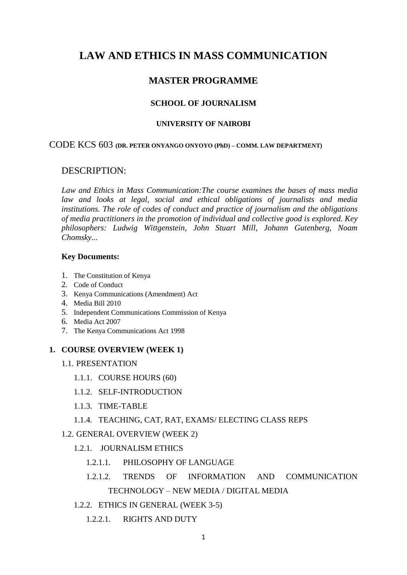# **LAW AND ETHICS IN MASS COMMUNICATION**

## **MASTER PROGRAMME**

### **SCHOOL OF JOURNALISM**

#### **UNIVERSITY OF NAIROBI**

#### CODE KCS 603 **(DR. PETER ONYANGO ONYOYO (PhD) – COMM. LAW DEPARTMENT)**

## DESCRIPTION:

*Law and Ethics in Mass Communication:The course examines the bases of mass media law and looks at legal, social and ethical obligations of journalists and media institutions. The role of codes of conduct and practice of journalism and the obligations of media practitioners in the promotion of individual and collective good is explored. Key philosophers: Ludwig Wittgenstein, John Stuart Mill, Johann Gutenberg, Noam Chomsky...*

#### **Key Documents:**

- 1. The Constitution of Kenya
- 2. Code of Conduct
- 3. Kenya Communications (Amendment) Act
- 4. Media Bill 2010
- 5. Independent Communications Commission of Kenya
- 6. Media Act 2007
- 7. The Kenya Communications Act 1998

### **1. COURSE OVERVIEW (WEEK 1)**

- 1.1. PRESENTATION
	- 1.1.1. COURSE HOURS (60)
	- 1.1.2. SELF-INTRODUCTION
	- 1.1.3. TIME-TABLE
	- 1.1.4. TEACHING, CAT, RAT, EXAMS/ ELECTING CLASS REPS
- 1.2. GENERAL OVERVIEW (WEEK 2)
	- 1.2.1. JOURNALISM ETHICS
		- 1.2.1.1. PHILOSOPHY OF LANGUAGE
		- 1.2.1.2. TRENDS OF INFORMATION AND COMMUNICATION

#### TECHNOLOGY – NEW MEDIA / DIGITAL MEDIA

- 1.2.2. ETHICS IN GENERAL (WEEK 3-5)
	- 1.2.2.1. RIGHTS AND DUTY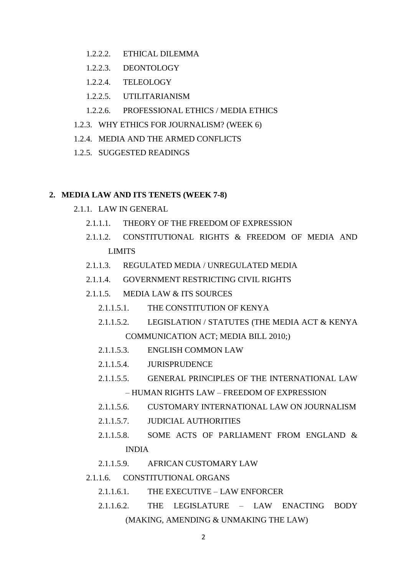- 1.2.2.2. ETHICAL DILEMMA
- 1.2.2.3. DEONTOLOGY
- 1.2.2.4. TELEOLOGY
- 1.2.2.5. UTILITARIANISM
- 1.2.2.6. PROFESSIONAL ETHICS / MEDIA ETHICS
- 1.2.3. WHY ETHICS FOR JOURNALISM? (WEEK 6)
- 1.2.4. MEDIA AND THE ARMED CONFLICTS
- 1.2.5. SUGGESTED READINGS

### **2. MEDIA LAW AND ITS TENETS (WEEK 7-8)**

- 2.1.1. LAW IN GENERAL
	- 2.1.1.1. THEORY OF THE FREEDOM OF EXPRESSION
	- 2.1.1.2. CONSTITUTIONAL RIGHTS & FREEDOM OF MEDIA AND LIMITS
	- 2.1.1.3. REGULATED MEDIA / UNREGULATED MEDIA
	- 2.1.1.4. GOVERNMENT RESTRICTING CIVIL RIGHTS
	- 2.1.1.5. MEDIA LAW & ITS SOURCES
		- 2.1.1.5.1. THE CONSTITUTION OF KENYA
		- 2.1.1.5.2. LEGISLATION / STATUTES (THE MEDIA ACT & KENYA COMMUNICATION ACT; MEDIA BILL 2010;)
		- 2.1.1.5.3. ENGLISH COMMON LAW
		- 2.1.1.5.4. JURISPRUDENCE
		- 2.1.1.5.5. GENERAL PRINCIPLES OF THE INTERNATIONAL LAW – HUMAN RIGHTS LAW – FREEDOM OF EXPRESSION
		- 2.1.1.5.6. CUSTOMARY INTERNATIONAL LAW ON JOURNALISM
		- 2.1.1.5.7. JUDICIAL AUTHORITIES
		- 2.1.1.5.8. SOME ACTS OF PARLIAMENT FROM ENGLAND & INDIA
		- 2.1.1.5.9. AFRICAN CUSTOMARY LAW
	- 2.1.1.6. CONSTITUTIONAL ORGANS
		- 2.1.1.6.1. THE EXECUTIVE LAW ENFORCER
		- 2.1.1.6.2. THE LEGISLATURE LAW ENACTING BODY (MAKING, AMENDING & UNMAKING THE LAW)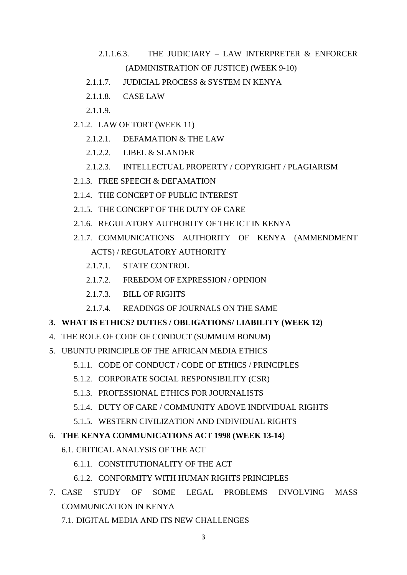# 2.1.1.6.3. THE JUDICIARY – LAW INTERPRETER & ENFORCER (ADMINISTRATION OF JUSTICE) (WEEK 9-10)

- 2.1.1.7. JUDICIAL PROCESS & SYSTEM IN KENYA
- 2.1.1.8. CASE LAW
- 2.1.1.9.
- 2.1.2. LAW OF TORT (WEEK 11)
	- 2.1.2.1. DEFAMATION & THE LAW
	- 2.1.2.2. LIBEL & SLANDER
	- 2.1.2.3. INTELLECTUAL PROPERTY / COPYRIGHT / PLAGIARISM
- 2.1.3. FREE SPEECH & DEFAMATION
- 2.1.4. THE CONCEPT OF PUBLIC INTEREST
- 2.1.5. THE CONCEPT OF THE DUTY OF CARE
- 2.1.6. REGULATORY AUTHORITY OF THE ICT IN KENYA
- 2.1.7. COMMUNICATIONS AUTHORITY OF KENYA (AMMENDMENT ACTS) / REGULATORY AUTHORITY
	- 2.1.7.1. STATE CONTROL
	- 2.1.7.2. FREEDOM OF EXPRESSION / OPINION
	- 2.1.7.3. BILL OF RIGHTS
	- 2.1.7.4. READINGS OF JOURNALS ON THE SAME

## **3. WHAT IS ETHICS? DUTIES / OBLIGATIONS/ LIABILITY (WEEK 12)**

- 4. THE ROLE OF CODE OF CONDUCT (SUMMUM BONUM)
- 5. UBUNTU PRINCIPLE OF THE AFRICAN MEDIA ETHICS
	- 5.1.1. CODE OF CONDUCT / CODE OF ETHICS / PRINCIPLES
	- 5.1.2. CORPORATE SOCIAL RESPONSIBILITY (CSR)
	- 5.1.3. PROFESSIONAL ETHICS FOR JOURNALISTS
	- 5.1.4. DUTY OF CARE / COMMUNITY ABOVE INDIVIDUAL RIGHTS
	- 5.1.5. WESTERN CIVILIZATION AND INDIVIDUAL RIGHTS

## 6. **THE KENYA COMMUNICATIONS ACT 1998 (WEEK 13-14**)

- 6.1. CRITICAL ANALYSIS OF THE ACT
	- 6.1.1. CONSTITUTIONALITY OF THE ACT
	- 6.1.2. CONFORMITY WITH HUMAN RIGHTS PRINCIPLES
- 7. CASE STUDY OF SOME LEGAL PROBLEMS INVOLVING MASS COMMUNICATION IN KENYA
	- 7.1. DIGITAL MEDIA AND ITS NEW CHALLENGES